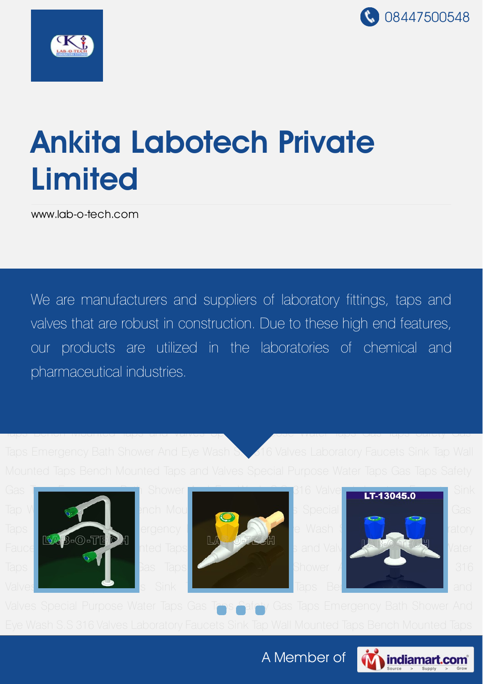



# Ankita Labotech Private Limited

[www.lab-o-tech.com](http://www.lab-o-tech.com/)

We are manufacturers and suppliers of laboratory fittings, taps and valves that are robust in construction. Due to these high end features, And Eye Wash S.S 316 Valves Laboratory Faucets Sink Tap Wall Mounted Taps Bench Mounted our products are utilized in the laboratories of chemical and Shower And Eye Washington Sink Tap Wash S.S 316 Valuets Sink Tap Wall Mounted Tap Wall Mounted Tap Wall Mounted Tap

Taps Emergency Bath Shower And Eye Wash S. 316 Valves Laboratory Faucets Sink Tap Wall

Taps Bench Mounted Taps and Valves Special Purpose Water Taps Gas Taps Safety Gas









Valves Special Purpose Water Taps Gas Taps Safety Gas Taps Emergency Bath Shower And

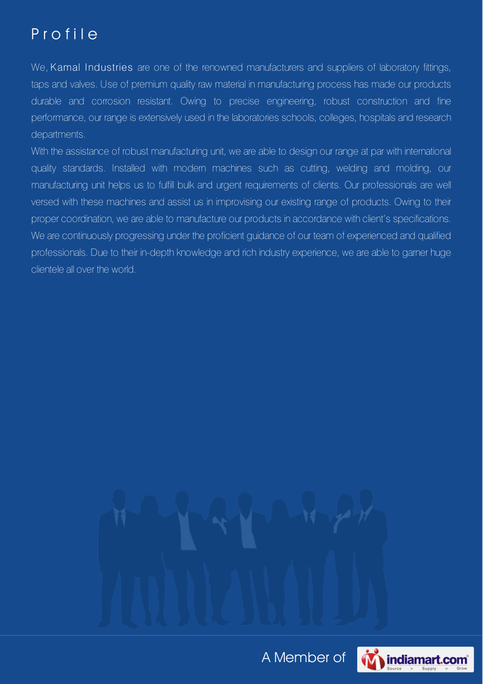## P r o f i l e

We, Kamal Industries are one of the renowned manufacturers and suppliers of laboratory fittings, taps and valves. Use of premium quality raw material in manufacturing process has made our products durable and corrosion resistant. Owing to precise engineering, robust construction and fine performance, our range is extensively used in the laboratories schools, colleges, hospitals and research departments.

With the assistance of robust manufacturing unit, we are able to design our range at par with international quality standards. Installed with modern machines such as cutting, welding and molding, our manufacturing unit helps us to fulfill bulk and urgent requirements of clients. Our professionals are well versed with these machines and assist us in improvising our existing range of products. Owing to their proper coordination, we are able to manufacture our products in accordance with client's specifications. We are continuously progressing under the proficient guidance of our team of experienced and qualified professionals. Due to their in-depth knowledge and rich industry experience, we are able to garner huge clientele all over the world.

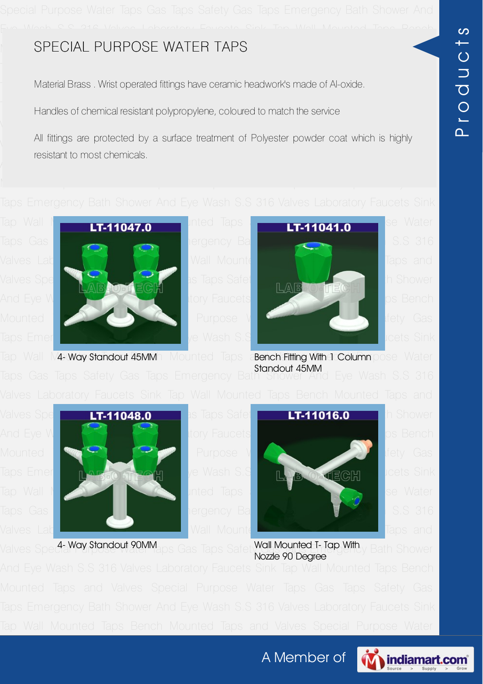#### Mounted Taps and Valves Special Purpose Water Taps Safety Gas Taps Safety Gas Taps Safety Gas Taps Safety Gas

Material Brass . Wrist operated fittings have ceramic headwork's made of Al-oxide.

Taps Case Taps Cases Taps Shower And Eye Mandles of chemical resistant polypropylene, coloured to match the service

All fittings are protected by a surface treatment of Polyester powder coat which is highly resistant to most chemicals.





Tap Wall Maxway Standout 45MMh Mounted Taps a Bench Fitting With 1 Column pose Water Taps Gas Taps Safety Gas Taps Emergency Bath Shower And Eye Wash S.S 316 Standout 45MM





Valves Special Way Standout 20MM aps Gas Taps Safet Wall Mounted T- Tap With y Bath Shower Nozzle 90 Degree

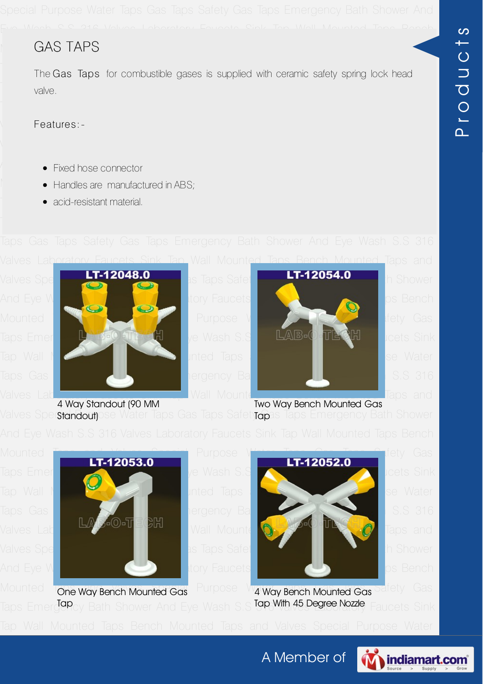#### Mounted Taps and Valves Special Purpose Water Taps Gas Taps Safety Gas GAS TAPS

The Gas Taps for combustible gases is supplied with ceramic safety spring lock head Tap Wall Mounted Taps Bench Mounted Taps and Valves Special Purpose Water valve.

Valves Laboratory Features: Sink Tap Wall Mounted Taps Bench Mounted Taps Bench Mounted Taps Bench Mounted Taps Bench Mounted Taps and Taps and Taps Bench Mounted Taps and Taps and Taps and Taps and Taps and Taps and Taps Features:-

- $\blacklozenge$  . Fixed hose connector  $\blacklozenge$   $\blacklozenge$   $\blacklozenge$   $\blacklozenge$   $\blacklozenge$   $\blacklozenge$   $\blacklozenge$   $\blacklozenge$   $\blacklozenge$   $\blacklozenge$   $\blacklozenge$   $\blacklozenge$   $\blacklozenge$   $\blacklozenge$   $\blacklozenge$   $\blacklozenge$   $\blacklozenge$   $\blacklozenge$   $\blacklozenge$   $\blacklozenge$   $\blacklozenge$   $\blacklozenge$   $\blacklozenge$   $\blacklozenge$
- **Mounted Taps and Valves Special Purpose Special Purpose Water Taps Safety Gas Taps Safety Gas Taps Safety Gas T**
- **Taps Emergency Bath Shower And Eye Wash Shower And Eye Wash Street Shower Shower Sink Shower Sink Shower Sinks**





Valves Spec**standout)**ose Water Taps Gas Taps Safety**rap**as Taps Emergency Bath Shower 4 Way Standout (90 MM **Standout**) Two Way Bench Mounted Gas





Mounted Tone Way Bench Mounted Gas Purpose Wat Way Bench Mounted Gas Safety Gas Taps Emerg<sup>ign</sup>cy Bath Shower And Eye Wash S.S Tap With 45 Degree Nozzle, Faucets Sink 4 Way Bench Mounted Gas Tap With 45 Degree Nozzle



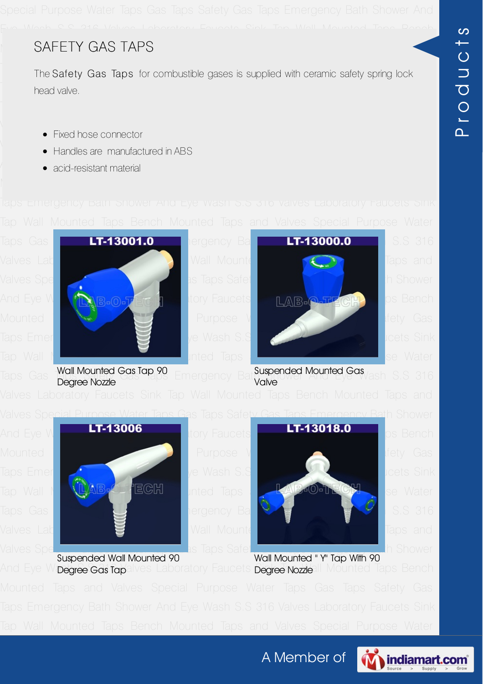### Mounted Taps and Valves Special Purpose Water Taps Gas Taps Safety Gas SAFETY GAS TAPS

The Safety Gas Taps for combustible gases is supplied with ceramic safety spring lock Tap Wall Mounted Taps Bench Mounted Taps and Valves Special Purpose Water head valve.

- Valves Laboratory Faucets Sink Tap Wall Mounted Taps Bench Mounted Taps and Fixed hose connector
- valves Special Purpose Water Taps Gas Taps Safety Gas Taps Safety Gas Taps Safety Gas Taps Shower Shower Shower Shower Shower Shower Shower Shower Shower Shower Shower Shower Shower Shower Shower Shower Shower Shower Showe
- $\blacklozenge$  316  $\blacktriangle$  316  $\blacktriangle$  316  $\blacktriangle$  316  $\blacktriangle$   $\blacktriangle$  316  $\blacktriangle$  316  $\blacktriangle$  316  $\blacktriangle$  316  $\blacktriangle$  316  $\blacktriangle$  316  $\blacktriangle$  316  $\blacktriangle$  316  $\blacktriangle$  316  $\blacktriangle$  316  $\blacktriangle$  316  $\blacktriangle$  316  $\blacktriangle$  316  $\blacktriangle$  316  $\blacktriangle$  316  $\blacktriangle$  316  $\blacktriangle$  316  $\black$



Taps Gas **Twainvounied Gas.idp.yu** Emergency Bat**u. Shower And Eye Wa**sh S.S 316 Degree Nozzle Valve



Suspended Wall Mounted 90



And Eye W**<sub>i</sub>Degree Gas fap**alves Laboratory Faucets **Degree Nozzle**ll Mounted Taps Bench Wall Mounted " Y" Tap With 90

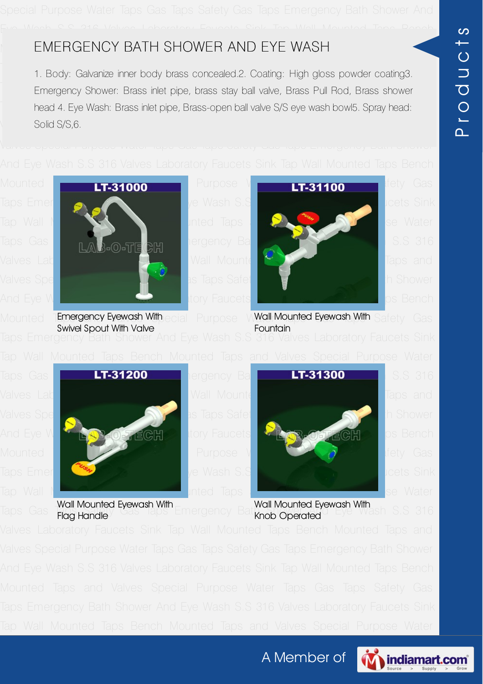### MOUNTED TAPS AND TAPS AND TAPS SPECIAL PURPOSE WAS TAPS SAFETY GAS TAPS SAFETY GAS TAPS SAFETY CONTROL TAPS SAFETY CONTROL TAPS SAFETY CONTROL TAPS SAFETY CONTROL TAPS SAFETY CONTROL TAPS SAFETY CONTROL TAPS SAFETY CONTROL

nd the Show Bath Shower And Eye Wash Shower And Eye Wash Shower Shower Shower Shower Shower Shower Sings Standard S<br>1. Body: Galvanize inner body brass concealed.2. Coating: High gloss powder coating3. **Emergency Shower: Brass inlet pipe, brass stay ball valve, Brass Pull Rod, Brass shower** head 4. Eye Wash: Brass inlet pipe, Brass-open ball valve S/S eye wash bowl5. Spray head: valves Laboratory Faucets Sink Tap Wall Mounted Tap Wall Mounted Taps Bench Mounted Taps Bench Mounted Taps Bench Mounted Taps and the University of the University of the University of the University of the University of t Solid S/S,6.



Swivel Spout With Valve



Mounted T**Emergency Eyewash With** ecial Purpose W**Wall Mounted Eyewash With** Safety Gas Wall Mounted Eyewash With **Fountain** 



Flag Handle



Taps Gas Wall Mounted Eyewash With Emergency Bath Mounted Eyewash With<br>Taps Gas Elag Handley Gas Taps Emergency Bath Shop Operated Eye Wash S.S 316 Wall Mounted Eyewash With Knob Operated

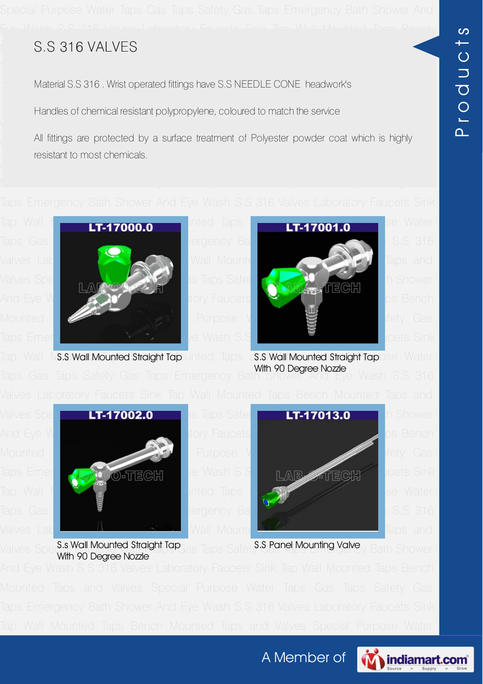# Mounted Taps and Valves Special Purpose Water Taps Gas Taps Safety Gas S.S 316 VALVES

Material S.S 316 . Wrist operated fittings have S.S NEEDLE CONE headwork's

Taps Case Taps Cases Taps Shower And Eye Mandles of chemical resistant polypropylene, coloured to match the service

All fittings are protected by a surface treatment of Polyester powder coat which is highly resistant to most chemicals.

Taps Gas Taps Shower Shower And Executive Gas Taps Emergency Bath Shower And Executive Shower Shower And Executive Valves Laboratory Faucets Sink Tap Wall Mounted Taps Sink Taps and Valves Special Purpose Water Taps Safety Gas Taps Safety Gas Taps Safety Gas Taps Capital Capital Capital Capital Capital Capital Capital Capital Capital Capital Capital Capital Capital Capital Capital Capital Capital Capi And Eye Wash S.S 316 Valves Laboratory Faucets Sink Tap Wall Mounted Taps Bench Mounted Taps and Valves Special Purpose Valves Special Purpose Special Special Special Special Special Special Special Special Special Special Special Special Special Special Special Special Special Special Special Special Taps Emergency Bath [Shower](ss-316-valves.html#s-s-wall-mounted-straight-tap) And Eye Wash S.S 316 Valves [Laboratory](ss-316-valves.html#s-s-wall-mounted-straight-tap-with-90-degree-nozzle) Faucets Sink



Tap Wall NS.S Wall Mounted Straight Tap unted Taps as S. Wall Mounted Straight Tapose Water With 90 Degree Nozzle

Taps Gas Taps Safety Gas Taps Emergency Bath Shower And Eye Wash S.S 316



Valves Special Mounted Straight Tap<sub>cias</sub> Taps Safety<sup>S.S.</sup> Panel Mounting Valve<sub>y</sub> Bath Shower With 90 Degree Nozzle S.S Panel Mounting Valve



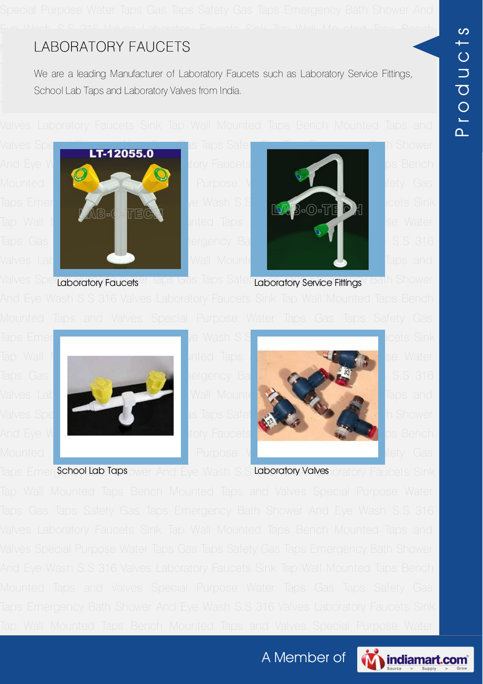# Mounted Taps and Valves Special Purpose Water Taps Safety Gas Taps Safety Gas Taps Safety Gas Taps Safety Gas

Taps Emergency -<br>We are a leading Manufacturer of Laboratory Faucets such as Laboratory Service Fittings, Tap North Mounted Taps and Laboratory Valves from India.<br>The School Lab Taps and Laboratory Valves from India.







Valves Sper<mark>taboratory Faucets</mark>en laps Gas Taps Safet <mark>Laboratory Service Fittings</mark>y Bath Shower





Taps Emergichool Lab Taps ower And Eye Wash S.S Laboratory Valves oratory Faucets Sink

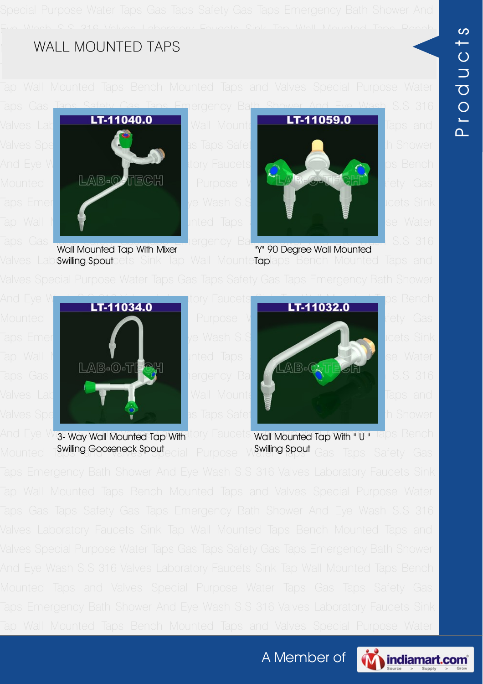#### MOUNTED TAPS And Valves Special Purpose Water Taps Safety Gas Taps Safety Gas Taps Safety Gas Taps Safety Gas

Taps Gas Taps Safety Gas Taps Emergency Bath Shower And Eye Wash S.S 316





Taps Gas Taps Safety Gas Taps Emergency Bath Shower And Eye Wash S.S 316 Valves Lab**ßwilling/Spout**cets Sink Tap Wall Mounte**Tap**laps Bench Mounted Taps and Wall Mounted Tap With Mixer Swilling Spout "Y" 90 Degree Wall Mounted Wall Mounte**Tap** 



And Eye W<mark>as way wall Mounted Tap With</mark>atory Faucets wall Mounted Tap With " U " Taps Bench Mounted Tamiling Gooseneck Spout<sub>ecial</sub> Purpose Water Gas Taps Safety Gas 3- Way Wall Mounted Tap With Swilling Gooseneck Spout Swilling Spout

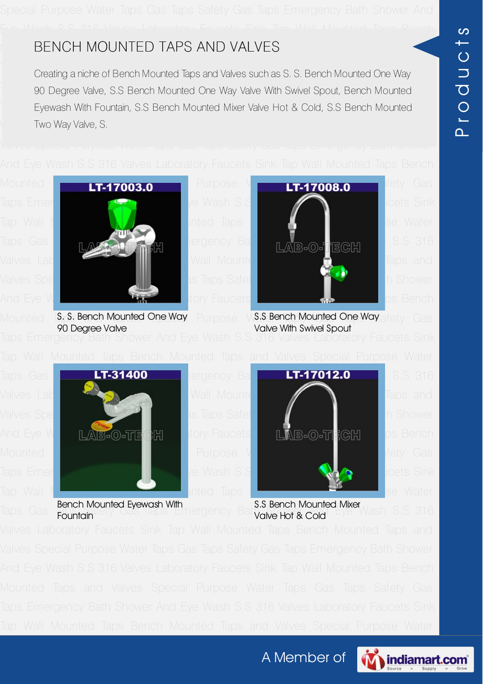# Mounted Taps and Valves Special Purpose Safety Gas Taps Safety Gas Taps Safety Gas Taps Safety Gas Taps Safety Gas Taps Safety Gas Taps Safety Gas Taps Safety Gas Taps Safety Gas Taps Safety Gas Taps Safety Gas Taps Safety

-<br>Creating a niche of Bench Mounted Taps and Valves such as S. S. Bench Mounted One Way **Taps 20 Degree Valve, S.S Bench Mounted One Way Valve With Swivel Spout, Bench Mounted** Eyewash With Fountain, S.S Bench Mounted Mixer Valve Hot & Cold, S.S Bench Mounted Valves Laboratory Faucets Sink Tap Wall Mounted Taps Bench Mounted Taps Bench Mounted Taps and Taps and Taps and



Taps Gas **Bench Mounted Eyewash With**<br>Taps Gas Edintain <sup>ety Gas</sup> laps Emergency Battyake Hot & Cold Eye Wash S.S 316

S.S Bench Mounted Mixer Valve Hot & Cold

**Fountain** 

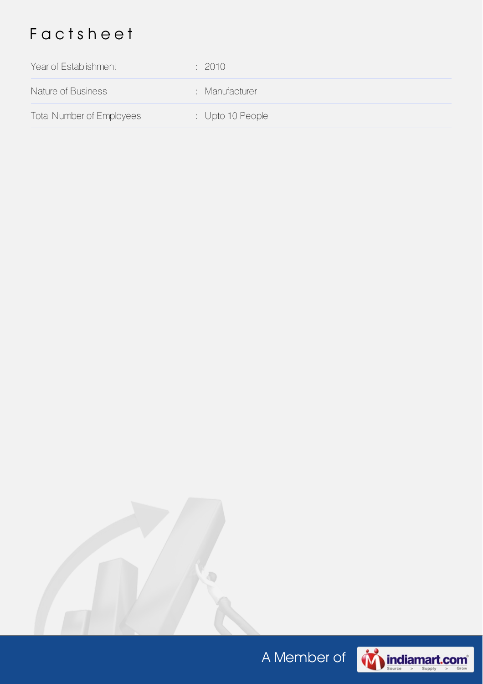# F a c t s h e e t

| Year of Establishment            | : 2010                      |
|----------------------------------|-----------------------------|
| Nature of Business               | : Manufacturer              |
| <b>Total Number of Employees</b> | $\therefore$ Upto 10 People |